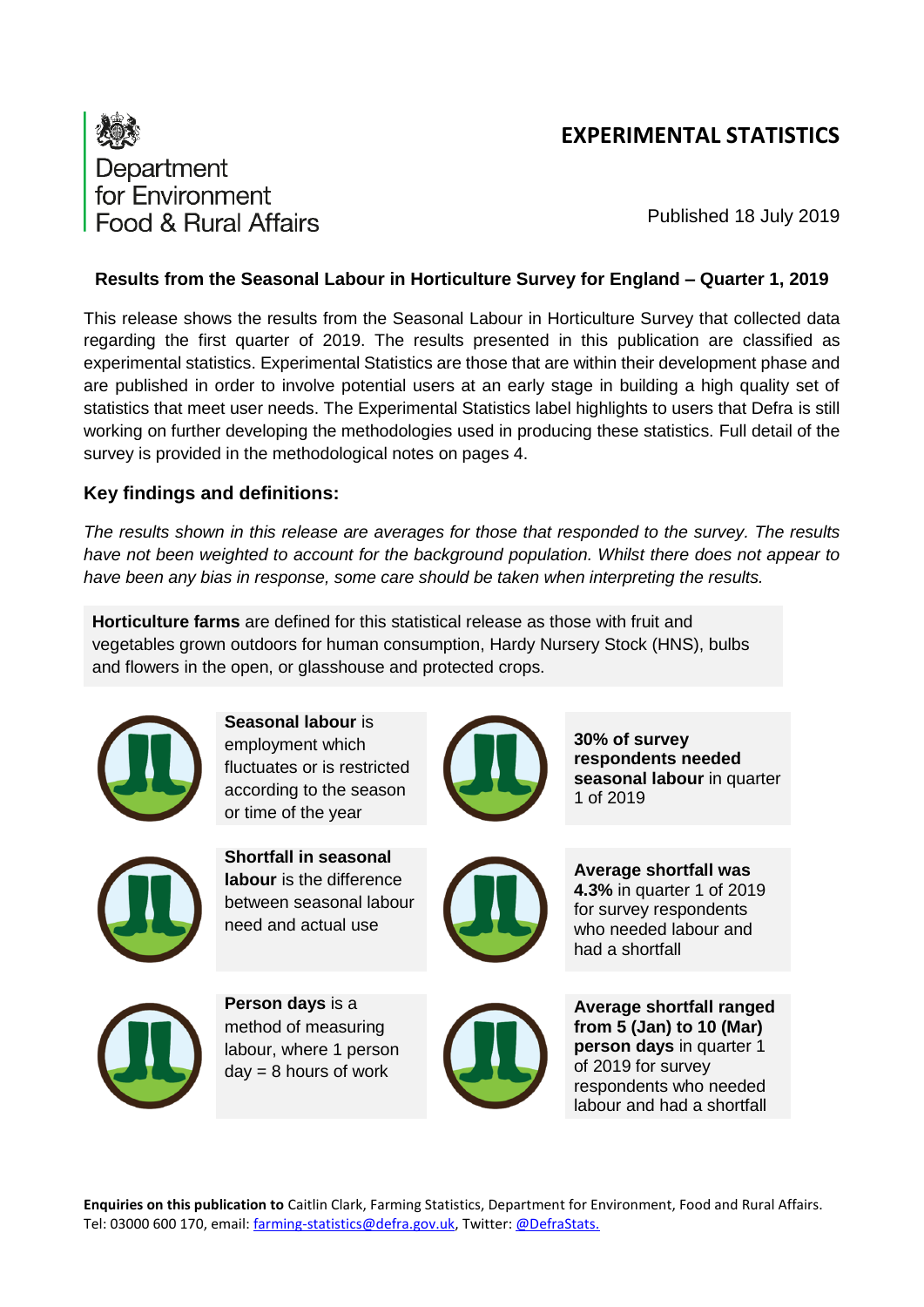# **EXPERIMENTAL STATISTICS**



Published 18 July 2019

## **Results from the Seasonal Labour in Horticulture Survey for England – Quarter 1, 2019**

This release shows the results from the Seasonal Labour in Horticulture Survey that collected data regarding the first quarter of 2019. The results presented in this publication are classified as experimental statistics. Experimental Statistics are those that are within their development phase and are published in order to involve potential users at an early stage in building a high quality set of statistics that meet user needs. The Experimental Statistics label highlights to users that Defra is still working on further developing the methodologies used in producing these statistics. Full detail of the survey is provided in the methodological notes on pages 4.

# **Key findings and definitions:**

*The results shown in this release are averages for those that responded to the survey. The results have not been weighted to account for the background population. Whilst there does not appear to have been any bias in response, some care should be taken when interpreting the results.*

**Horticulture farms** are defined for this statistical release as those with fruit and vegetables grown outdoors for human consumption, Hardy Nursery Stock (HNS), bulbs and flowers in the open, or glasshouse and protected crops.



**Seasonal labour** is employment which fluctuates or is restricted according to the season or time of the year



**Shortfall in seasonal labour** is the difference between seasonal labour need and actual use



**30% of survey respondents needed seasonal labour** in quarter 1 of 2019



**Average shortfall was 4.3%** in quarter 1 of 2019 for survey respondents who needed labour and had a shortfall



**Person days** is a method of measuring labour, where 1 person  $day = 8$  hours of work



**Average shortfall ranged from 5 (Jan) to 10 (Mar) person days** in quarter 1 of 2019 for survey respondents who needed labour and had a shortfall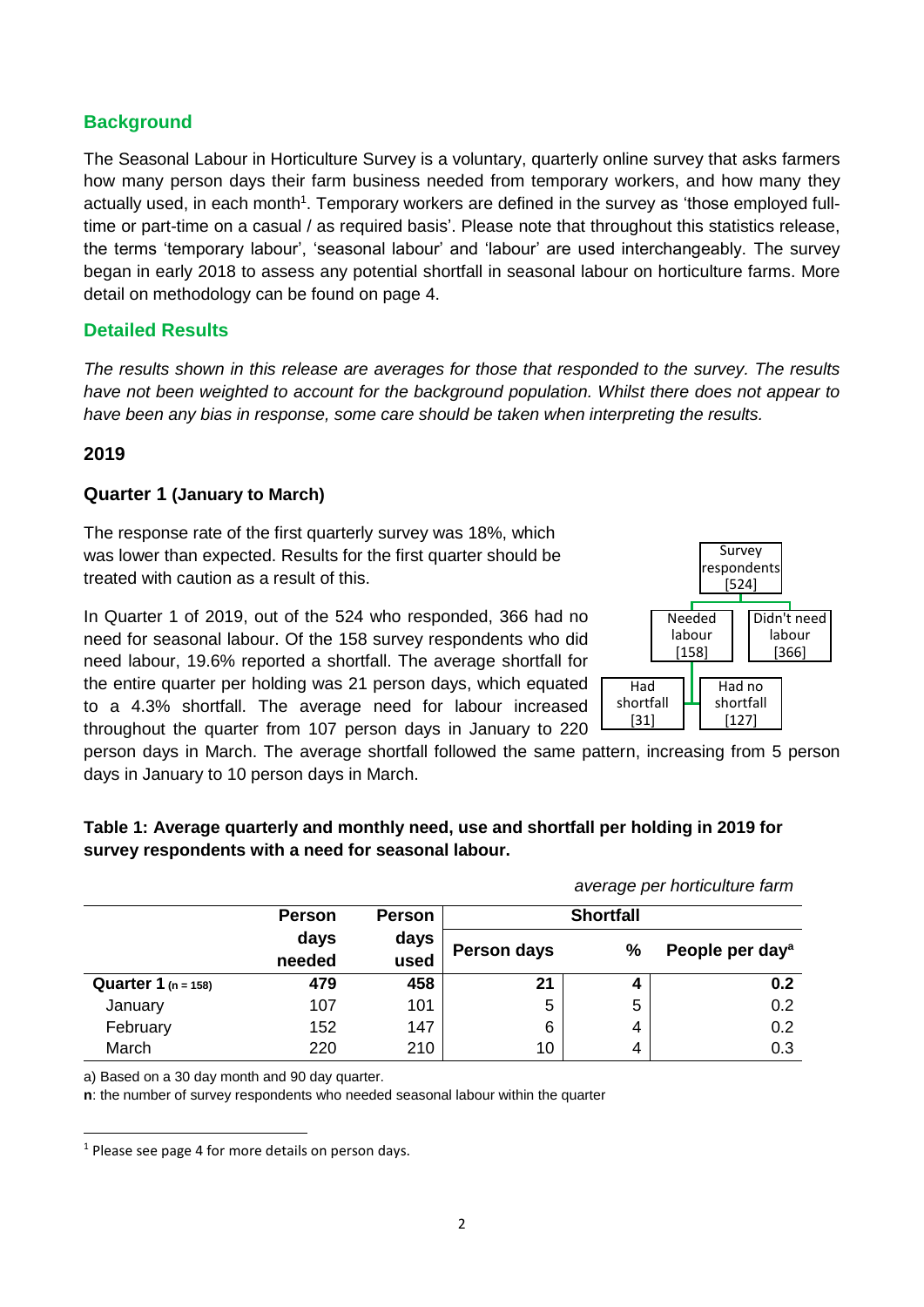# **Background**

The Seasonal Labour in Horticulture Survey is a voluntary, quarterly online survey that asks farmers how many person days their farm business needed from temporary workers, and how many they actually used, in each month<sup>1</sup>. Temporary workers are defined in the survey as 'those employed fulltime or part-time on a casual / as required basis'. Please note that throughout this statistics release, the terms 'temporary labour', 'seasonal labour' and 'labour' are used interchangeably. The survey began in early 2018 to assess any potential shortfall in seasonal labour on horticulture farms. More detail on methodology can be found on page 4.

### **Detailed Results**

*The results shown in this release are averages for those that responded to the survey. The results have not been weighted to account for the background population. Whilst there does not appear to have been any bias in response, some care should be taken when interpreting the results.* 

#### **2019**

1

#### **Quarter 1 (January to March)**

The response rate of the first quarterly survey was 18%, which was lower than expected. Results for the first quarter should be treated with caution as a result of this.

In Quarter 1 of 2019, out of the 524 who responded, 366 had no need for seasonal labour. Of the 158 survey respondents who did need labour, 19.6% reported a shortfall. The average shortfall for the entire quarter per holding was 21 person days, which equated to a 4.3% shortfall. The average need for labour increased throughout the quarter from 107 person days in January to 220



person days in March. The average shortfall followed the same pattern, increasing from 5 person days in January to 10 person days in March.

|                                |                |               |                  |   | average per horticulture farm |  |
|--------------------------------|----------------|---------------|------------------|---|-------------------------------|--|
|                                | <b>Person</b>  | <b>Person</b> | <b>Shortfall</b> |   |                               |  |
|                                | days<br>needed | days<br>used  | Person days      | % | People per day <sup>a</sup>   |  |
| <b>Quarter 1</b> ( $n = 158$ ) | 479            | 458           | 21               |   | 0.2                           |  |
| January                        | 107            | 101           | 5                | 5 | 0.2                           |  |
| February                       | 152            | 147           | 6                | 4 | 0.2                           |  |
| March                          | 220            | 210           | 10               | 4 | 0.3                           |  |

## **Table 1: Average quarterly and monthly need, use and shortfall per holding in 2019 for survey respondents with a need for seasonal labour.**

a) Based on a 30 day month and 90 day quarter.

**n**: the number of survey respondents who needed seasonal labour within the quarter

 $1$  Please see page 4 for more details on person days.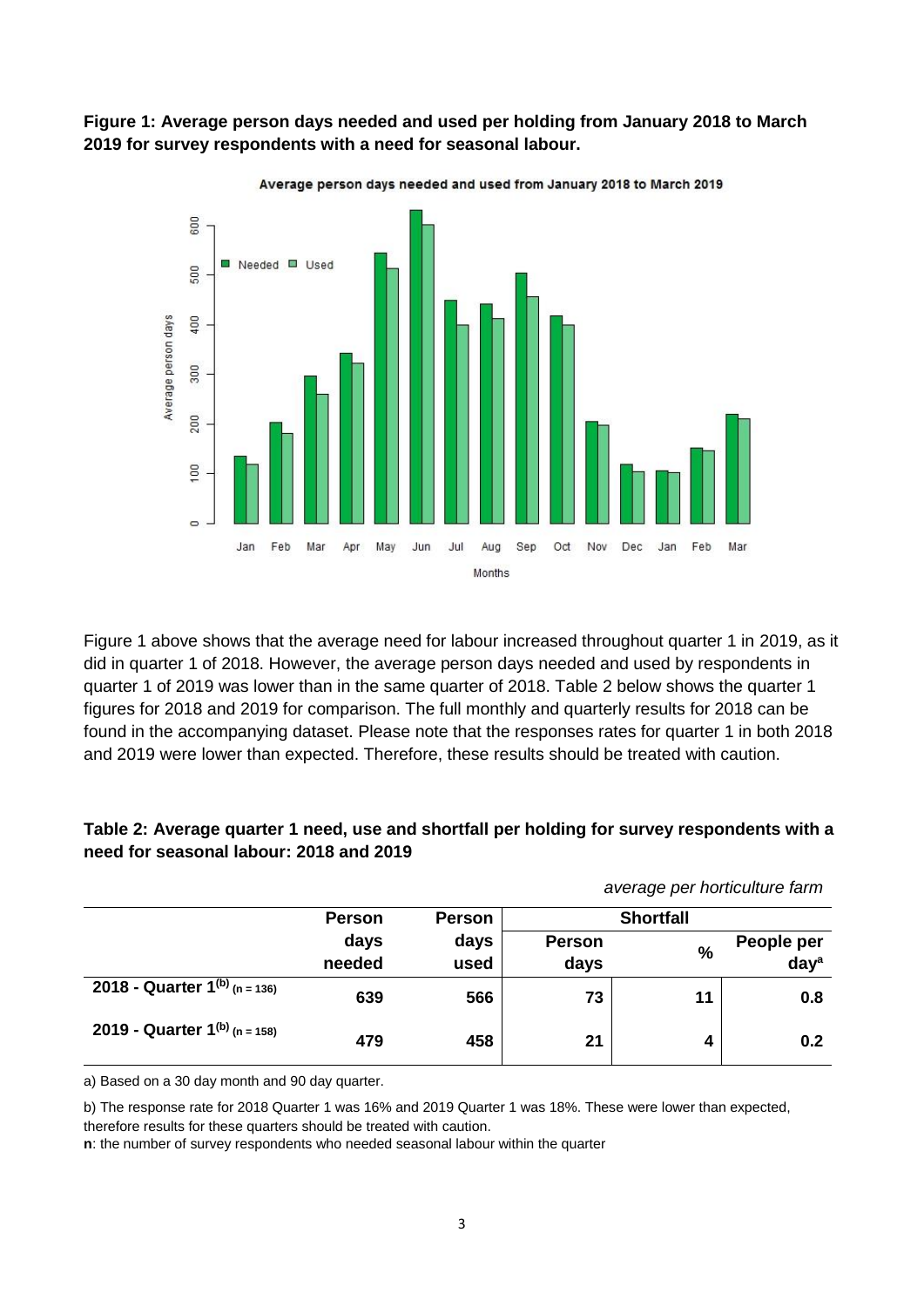**Figure 1: Average person days needed and used per holding from January 2018 to March 2019 for survey respondents with a need for seasonal labour.**



Figure 1 above shows that the average need for labour increased throughout quarter 1 in 2019, as it did in quarter 1 of 2018. However, the average person days needed and used by respondents in quarter 1 of 2019 was lower than in the same quarter of 2018. Table 2 below shows the quarter 1 figures for 2018 and 2019 for comparison. The full monthly and quarterly results for 2018 can be found in the accompanying dataset. Please note that the responses rates for quarter 1 in both 2018 and 2019 were lower than expected. Therefore, these results should be treated with caution.

|                                    |                |               |                  | average per horticulture farm |                  |
|------------------------------------|----------------|---------------|------------------|-------------------------------|------------------|
|                                    | <b>Person</b>  | <b>Person</b> | <b>Shortfall</b> |                               |                  |
|                                    | days<br>needed | days<br>used  | <b>Person</b>    | $\frac{0}{0}$                 | People per       |
|                                    |                |               | days             |                               | day <sup>a</sup> |
| 2018 - Quarter $1^{(b)}$ (n = 136) | 639            | 566           | 73               | 11                            | 0.8              |
| 2019 - Quarter $1^{(b)}$ (n = 158) | 479            | 458           | 21               | 4                             | 0.2              |

## **Table 2: Average quarter 1 need, use and shortfall per holding for survey respondents with a need for seasonal labour: 2018 and 2019**

a) Based on a 30 day month and 90 day quarter.

b) The response rate for 2018 Quarter 1 was 16% and 2019 Quarter 1 was 18%. These were lower than expected, therefore results for these quarters should be treated with caution.

**n**: the number of survey respondents who needed seasonal labour within the quarter